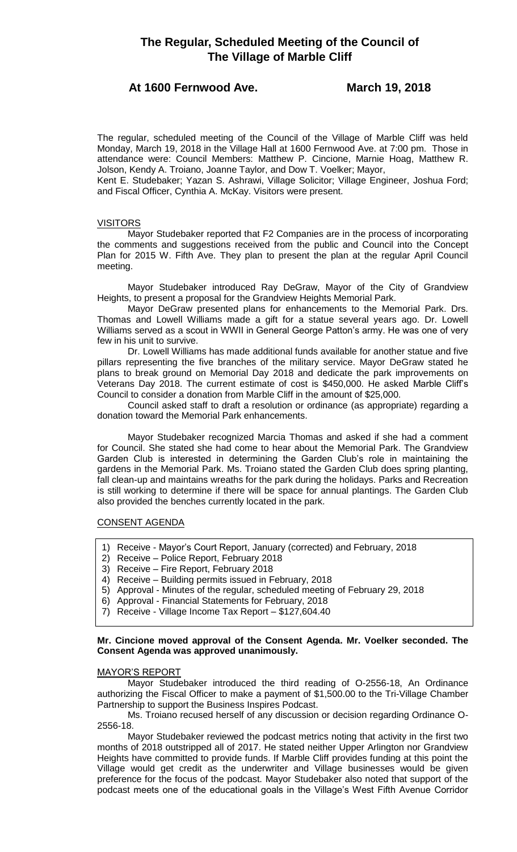# **At 1600 Fernwood Ave. March 19, 2018**

The regular, scheduled meeting of the Council of the Village of Marble Cliff was held Monday, March 19, 2018 in the Village Hall at 1600 Fernwood Ave. at 7:00 pm. Those in attendance were: Council Members: Matthew P. Cincione, Marnie Hoag, Matthew R. Jolson, Kendy A. Troiano, Joanne Taylor, and Dow T. Voelker; Mayor,

Kent E. Studebaker; Yazan S. Ashrawi, Village Solicitor; Village Engineer, Joshua Ford; and Fiscal Officer, Cynthia A. McKay. Visitors were present.

## VISITORS

Mayor Studebaker reported that F2 Companies are in the process of incorporating the comments and suggestions received from the public and Council into the Concept Plan for 2015 W. Fifth Ave. They plan to present the plan at the regular April Council meeting.

Mayor Studebaker introduced Ray DeGraw, Mayor of the City of Grandview Heights, to present a proposal for the Grandview Heights Memorial Park.

Mayor DeGraw presented plans for enhancements to the Memorial Park. Drs. Thomas and Lowell Williams made a gift for a statue several years ago. Dr. Lowell Williams served as a scout in WWII in General George Patton's army. He was one of very few in his unit to survive.

Dr. Lowell Williams has made additional funds available for another statue and five pillars representing the five branches of the military service. Mayor DeGraw stated he plans to break ground on Memorial Day 2018 and dedicate the park improvements on Veterans Day 2018. The current estimate of cost is \$450,000. He asked Marble Cliff's Council to consider a donation from Marble Cliff in the amount of \$25,000.

Council asked staff to draft a resolution or ordinance (as appropriate) regarding a donation toward the Memorial Park enhancements.

Mayor Studebaker recognized Marcia Thomas and asked if she had a comment for Council. She stated she had come to hear about the Memorial Park. The Grandview Garden Club is interested in determining the Garden Club's role in maintaining the gardens in the Memorial Park. Ms. Troiano stated the Garden Club does spring planting, fall clean-up and maintains wreaths for the park during the holidays. Parks and Recreation is still working to determine if there will be space for annual plantings. The Garden Club also provided the benches currently located in the park.

## CONSENT AGENDA

- 1) Receive Mayor's Court Report, January (corrected) and February, 2018
- 2) Receive Police Report, February 2018
- 3) Receive Fire Report, February 2018
- 4) Receive Building permits issued in February, 2018
- 5) Approval Minutes of the regular, scheduled meeting of February 29, 2018
- 6) Approval Financial Statements for February, 2018
- 7) Receive Village Income Tax Report \$127,604.40

# **Mr. Cincione moved approval of the Consent Agenda. Mr. Voelker seconded. The Consent Agenda was approved unanimously.**

## MAYOR'S REPORT

Mayor Studebaker introduced the third reading of O-2556-18, An Ordinance authorizing the Fiscal Officer to make a payment of \$1,500.00 to the Tri-Village Chamber Partnership to support the Business Inspires Podcast.

Ms. Troiano recused herself of any discussion or decision regarding Ordinance O-2556-18.

Mayor Studebaker reviewed the podcast metrics noting that activity in the first two months of 2018 outstripped all of 2017. He stated neither Upper Arlington nor Grandview Heights have committed to provide funds. If Marble Cliff provides funding at this point the Village would get credit as the underwriter and Village businesses would be given preference for the focus of the podcast. Mayor Studebaker also noted that support of the podcast meets one of the educational goals in the Village's West Fifth Avenue Corridor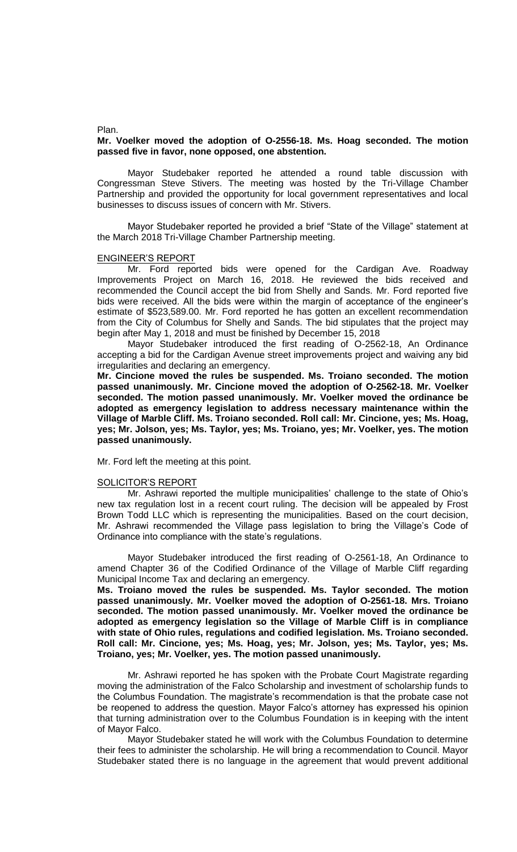Plan.

## **Mr. Voelker moved the adoption of O-2556-18. Ms. Hoag seconded. The motion passed five in favor, none opposed, one abstention.**

Mayor Studebaker reported he attended a round table discussion with Congressman Steve Stivers. The meeting was hosted by the Tri-Village Chamber Partnership and provided the opportunity for local government representatives and local businesses to discuss issues of concern with Mr. Stivers.

Mayor Studebaker reported he provided a brief "State of the Village" statement at the March 2018 Tri-Village Chamber Partnership meeting.

#### ENGINEER'S REPORT

Mr. Ford reported bids were opened for the Cardigan Ave. Roadway Improvements Project on March 16, 2018. He reviewed the bids received and recommended the Council accept the bid from Shelly and Sands. Mr. Ford reported five bids were received. All the bids were within the margin of acceptance of the engineer's estimate of \$523,589.00. Mr. Ford reported he has gotten an excellent recommendation from the City of Columbus for Shelly and Sands. The bid stipulates that the project may begin after May 1, 2018 and must be finished by December 15, 2018

Mayor Studebaker introduced the first reading of O-2562-18, An Ordinance accepting a bid for the Cardigan Avenue street improvements project and waiving any bid irregularities and declaring an emergency.

**Mr. Cincione moved the rules be suspended. Ms. Troiano seconded. The motion passed unanimously. Mr. Cincione moved the adoption of O-2562-18. Mr. Voelker seconded. The motion passed unanimously. Mr. Voelker moved the ordinance be adopted as emergency legislation to address necessary maintenance within the Village of Marble Cliff. Ms. Troiano seconded. Roll call: Mr. Cincione, yes; Ms. Hoag, yes; Mr. Jolson, yes; Ms. Taylor, yes; Ms. Troiano, yes; Mr. Voelker, yes. The motion passed unanimously.**

Mr. Ford left the meeting at this point.

#### SOLICITOR'S REPORT

Mr. Ashrawi reported the multiple municipalities' challenge to the state of Ohio's new tax regulation lost in a recent court ruling. The decision will be appealed by Frost Brown Todd LLC which is representing the municipalities. Based on the court decision, Mr. Ashrawi recommended the Village pass legislation to bring the Village's Code of Ordinance into compliance with the state's regulations.

Mayor Studebaker introduced the first reading of O-2561-18, An Ordinance to amend Chapter 36 of the Codified Ordinance of the Village of Marble Cliff regarding Municipal Income Tax and declaring an emergency.

**Ms. Troiano moved the rules be suspended. Ms. Taylor seconded. The motion passed unanimously. Mr. Voelker moved the adoption of O-2561-18. Mrs. Troiano seconded. The motion passed unanimously. Mr. Voelker moved the ordinance be adopted as emergency legislation so the Village of Marble Cliff is in compliance with state of Ohio rules, regulations and codified legislation. Ms. Troiano seconded. Roll call: Mr. Cincione, yes; Ms. Hoag, yes; Mr. Jolson, yes; Ms. Taylor, yes; Ms. Troiano, yes; Mr. Voelker, yes. The motion passed unanimously.**

Mr. Ashrawi reported he has spoken with the Probate Court Magistrate regarding moving the administration of the Falco Scholarship and investment of scholarship funds to the Columbus Foundation. The magistrate's recommendation is that the probate case not be reopened to address the question. Mayor Falco's attorney has expressed his opinion that turning administration over to the Columbus Foundation is in keeping with the intent of Mayor Falco.

Mayor Studebaker stated he will work with the Columbus Foundation to determine their fees to administer the scholarship. He will bring a recommendation to Council. Mayor Studebaker stated there is no language in the agreement that would prevent additional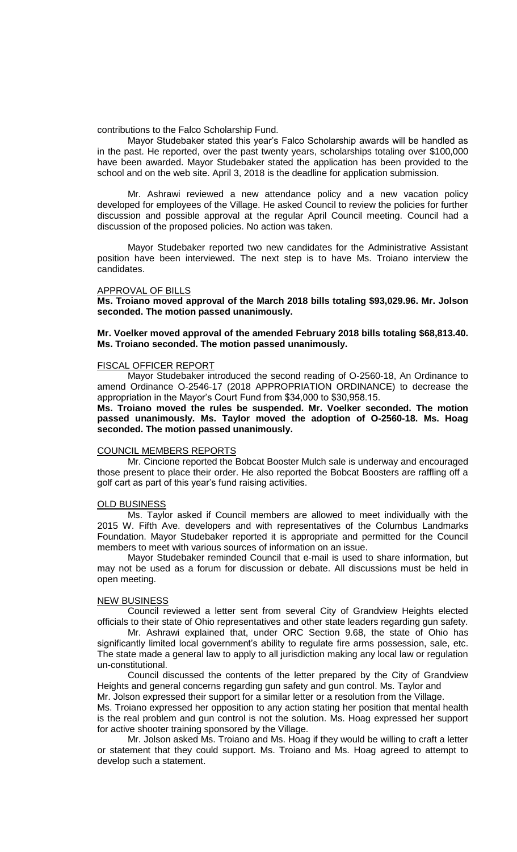contributions to the Falco Scholarship Fund.

Mayor Studebaker stated this year's Falco Scholarship awards will be handled as in the past. He reported, over the past twenty years, scholarships totaling over \$100,000 have been awarded. Mayor Studebaker stated the application has been provided to the school and on the web site. April 3, 2018 is the deadline for application submission.

Mr. Ashrawi reviewed a new attendance policy and a new vacation policy developed for employees of the Village. He asked Council to review the policies for further discussion and possible approval at the regular April Council meeting. Council had a discussion of the proposed policies. No action was taken.

Mayor Studebaker reported two new candidates for the Administrative Assistant position have been interviewed. The next step is to have Ms. Troiano interview the candidates.

#### APPROVAL OF BILLS

**Ms. Troiano moved approval of the March 2018 bills totaling \$93,029.96. Mr. Jolson seconded. The motion passed unanimously.**

## **Mr. Voelker moved approval of the amended February 2018 bills totaling \$68,813.40. Ms. Troiano seconded. The motion passed unanimously.**

## FISCAL OFFICER REPORT

Mayor Studebaker introduced the second reading of O-2560-18, An Ordinance to amend Ordinance O-2546-17 (2018 APPROPRIATION ORDINANCE) to decrease the appropriation in the Mayor's Court Fund from \$34,000 to \$30,958.15.

**Ms. Troiano moved the rules be suspended. Mr. Voelker seconded. The motion passed unanimously. Ms. Taylor moved the adoption of O-2560-18. Ms. Hoag seconded. The motion passed unanimously.** 

#### COUNCIL MEMBERS REPORTS

Mr. Cincione reported the Bobcat Booster Mulch sale is underway and encouraged those present to place their order. He also reported the Bobcat Boosters are raffling off a golf cart as part of this year's fund raising activities.

#### **OLD BUSINESS**

Ms. Taylor asked if Council members are allowed to meet individually with the 2015 W. Fifth Ave. developers and with representatives of the Columbus Landmarks Foundation. Mayor Studebaker reported it is appropriate and permitted for the Council members to meet with various sources of information on an issue.

Mayor Studebaker reminded Council that e-mail is used to share information, but may not be used as a forum for discussion or debate. All discussions must be held in open meeting.

#### **NEW BUSINESS**

Council reviewed a letter sent from several City of Grandview Heights elected officials to their state of Ohio representatives and other state leaders regarding gun safety.

Mr. Ashrawi explained that, under ORC Section 9.68, the state of Ohio has significantly limited local government's ability to regulate fire arms possession, sale, etc. The state made a general law to apply to all jurisdiction making any local law or regulation un-constitutional.

Council discussed the contents of the letter prepared by the City of Grandview Heights and general concerns regarding gun safety and gun control. Ms. Taylor and

Mr. Jolson expressed their support for a similar letter or a resolution from the Village.

Ms. Troiano expressed her opposition to any action stating her position that mental health is the real problem and gun control is not the solution. Ms. Hoag expressed her support for active shooter training sponsored by the Village.

Mr. Jolson asked Ms. Troiano and Ms. Hoag if they would be willing to craft a letter or statement that they could support. Ms. Troiano and Ms. Hoag agreed to attempt to develop such a statement.